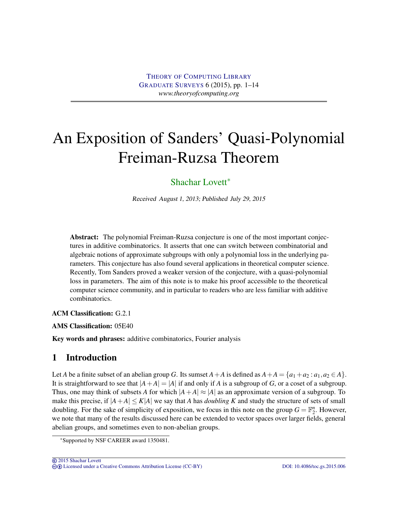# An Exposition of Sanders' Quasi-Polynomial Freiman-Ruzsa Theorem

# [Shachar Lovett](#page-13-0)<sup>∗</sup>

Received August 1, 2013; Published July 29, 2015

Abstract: The polynomial Freiman-Ruzsa conjecture is one of the most important conjectures in additive combinatorics. It asserts that one can switch between combinatorial and algebraic notions of approximate subgroups with only a polynomial loss in the underlying parameters. This conjecture has also found several applications in theoretical computer science. Recently, Tom Sanders proved a weaker version of the conjecture, with a quasi-polynomial loss in parameters. The aim of this note is to make his proof accessible to the theoretical computer science community, and in particular to readers who are less familiar with additive combinatorics.

ACM Classification: G.2.1

AMS Classification: 05E40

Key words and phrases: additive combinatorics, Fourier analysis

# 1 Introduction

Let *A* be a finite subset of an abelian group *G*. Its sumset  $A + A$  is defined as  $A + A = \{a_1 + a_2 : a_1, a_2 \in A\}$ . It is straightforward to see that  $|A+A|=|A|$  if and only if *A* is a subgroup of *G*, or a coset of a subgroup. Thus, one may think of subsets *A* for which  $|A+A| \approx |A|$  as an approximate version of a subgroup. To make this precise, if  $|A+A| \leq K|A|$  we say that *A* has *doubling K* and study the structure of sets of small doubling. For the sake of simplicity of exposition, we focus in this note on the group  $G = \mathbb{F}_2^n$ . However, we note that many of the results discussed here can be extended to vector spaces over larger fields, general abelian groups, and sometimes even to non-abelian groups.

<sup>∗</sup>Supported by NSF CAREER award 1350481.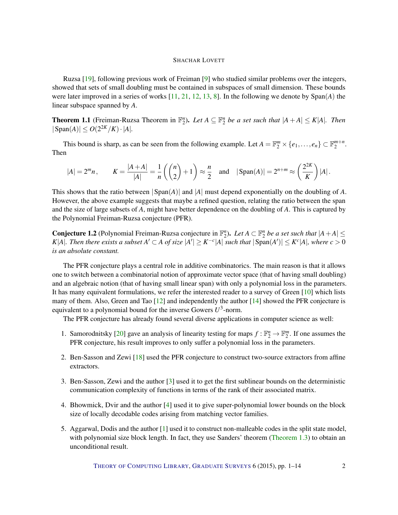<span id="page-1-1"></span>Ruzsa [\[19\]](#page-13-1), following previous work of Freiman [\[9\]](#page-12-0) who studied similar problems over the integers, showed that sets of small doubling must be contained in subspaces of small dimension. These bounds were later improved in a series of works  $[11, 21, 12, 13, 8]$  $[11, 21, 12, 13, 8]$  $[11, 21, 12, 13, 8]$  $[11, 21, 12, 13, 8]$  $[11, 21, 12, 13, 8]$  $[11, 21, 12, 13, 8]$  $[11, 21, 12, 13, 8]$  $[11, 21, 12, 13, 8]$  $[11, 21, 12, 13, 8]$ . In the following we denote by  $\text{Span}(A)$  the linear subspace spanned by *A*.

**Theorem 1.1** (Freiman-Ruzsa Theorem in  $\mathbb{F}_2^n$ ). Let  $A \subseteq \mathbb{F}_2^n$  be a set such that  $|A + A| \le K|A|$ . Then  $|\text{Span}(A)| \leq O(2^{2K}/K) \cdot |A|$ .

This bound is sharp, as can be seen from the following example. Let  $A = \mathbb{F}_2^m \times \{e_1, \ldots, e_n\} \subset \mathbb{F}_2^{m+n}$ . Then

$$
|A| = 2^m n, \qquad K = \frac{|A+A|}{|A|} = \frac{1}{n} \left( \binom{n}{2} + 1 \right) \approx \frac{n}{2} \quad \text{and} \quad |\operatorname{Span}(A)| = 2^{n+m} \approx \left( \frac{2^{2K}}{K} \right) |A|.
$$

This shows that the ratio between |Span(*A*)| and |*A*| must depend exponentially on the doubling of *A*. However, the above example suggests that maybe a refined question, relating the ratio between the span and the size of large subsets of *A*, might have better dependence on the doubling of *A*. This is captured by the Polynomial Freiman-Ruzsa conjecture (PFR).

<span id="page-1-0"></span>**Conjecture 1.2** (Polynomial Freiman-Ruzsa conjecture in  $\mathbb{F}_2^n$ ). Let  $A \subset \mathbb{F}_2^n$  be a set such that  $|A + A| \le$ K|A|. Then there exists a subset  $A' \subset A$  of size  $|A'| \geq K^{-c}|A|$  such that  $|\text{Span}(A')| \leq K^{c}|A|$ , where  $c > 0$ *is an absolute constant.*

The PFR conjecture plays a central role in additive combinatorics. The main reason is that it allows one to switch between a combinatorial notion of approximate vector space (that of having small doubling) and an algebraic notion (that of having small linear span) with only a polynomial loss in the parameters. It has many equivalent formulations, we refer the interested reader to a survey of Green [\[10\]](#page-12-5) which lists many of them. Also, Green and Tao  $[12]$  and independently the author  $[14]$  showed the PFR conjecture is equivalent to a polynomial bound for the inverse Gowers  $U^3$ -norm.

The PFR conjecture has already found several diverse applications in computer science as well:

- 1. Samorodnitsky [\[20\]](#page-13-3) gave an analysis of linearity testing for maps  $f : \mathbb{F}_2^n \to \mathbb{F}_2^m$ . If one assumes the PFR conjecture, his result improves to only suffer a polynomial loss in the parameters.
- 2. Ben-Sasson and Zewi [\[18\]](#page-13-4) used the PFR conjecture to construct two-source extractors from affine extractors.
- 3. Ben-Sasson, Zewi and the author [\[3\]](#page-11-0) used it to get the first sublinear bounds on the deterministic communication complexity of functions in terms of the rank of their associated matrix.
- 4. Bhowmick, Dvir and the author [\[4\]](#page-12-7) used it to give super-polynomial lower bounds on the block size of locally decodable codes arising from matching vector families.
- 5. Aggarwal, Dodis and the author [\[1\]](#page-11-1) used it to construct non-malleable codes in the split state model, with polynomial size block length. In fact, they use Sanders' theorem [\(Theorem](#page-2-0) [1.3\)](#page-2-0) to obtain an unconditional result.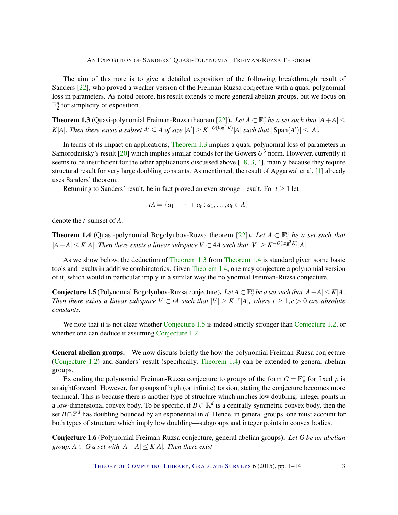<span id="page-2-3"></span>The aim of this note is to give a detailed exposition of the following breakthrough result of Sanders [\[22\]](#page-13-5), who proved a weaker version of the Freiman-Ruzsa conjecture with a quasi-polynomial loss in parameters. As noted before, his result extends to more general abelian groups, but we focus on  $\mathbb{F}_2^n$  for simplicity of exposition.

<span id="page-2-0"></span>**Theorem 1.3** (Quasi-polynomial Freiman-Ruzsa theorem [\[22\]](#page-13-5)). Let  $A \subset \mathbb{F}_2^n$  be a set such that  $|A + A| \leq$ *K*|*A*|*. Then there exists a subset*  $A' \subseteq A$  *of size*  $|A'| \geq K^{-O(\log^3 K)}|A|$  *such that*  $|\text{Span}(A')| \leq |A|$ *<i>.* 

In terms of its impact on applications, [Theorem](#page-2-0) [1.3](#page-2-0) implies a quasi-polynomial loss of parameters in Samorodnitsky's result [\[20\]](#page-13-3) which implies similar bounds for the Gowers  $U^3$  norm. However, currently it seems to be insufficient for the other applications discussed above [\[18,](#page-13-4) [3,](#page-11-0) [4\]](#page-12-7), mainly because they require structural result for very large doubling constants. As mentioned, the result of Aggarwal et al. [\[1\]](#page-11-1) already uses Sanders' theorem.

Returning to Sanders' result, he in fact proved an even stronger result. For  $t \geq 1$  let

$$
tA = \{a_1 + \cdots + a_t : a_1, \ldots, a_t \in A\}
$$

denote the *t*-sumset of *A*.

<span id="page-2-1"></span>**Theorem 1.4** (Quasi-polynomial Bogolyubov-Ruzsa theorem [\[22\]](#page-13-5)). Let  $A \subset \mathbb{F}_2^n$  be a set such that  $|A+A| \leq K|A|$ . Then there exists a linear subspace  $V \subset 4A$  such that  $|V| \geq K^{-O(\log^3 K)}|A|$ .

As we show below, the deduction of [Theorem](#page-2-0) [1.3](#page-2-0) from [Theorem](#page-2-1) [1.4](#page-2-1) is standard given some basic tools and results in additive combinatorics. Given [Theorem](#page-2-1) [1.4,](#page-2-1) one may conjecture a polynomial version of it, which would in particular imply in a similar way the polynomial Freiman-Ruzsa conjecture.

<span id="page-2-2"></span>**Conjecture 1.5** (Polynomial Bogolyubov-Ruzsa conjecture). Let  $A \subset \mathbb{F}_2^n$  be a set such that  $|A + A| \leq K|A|$ . *Then there exists a linear subspace*  $V \subset tA$  *such that*  $|V| \geq K^{-c}|A|$ *, where*  $t \geq 1, c > 0$  *are absolute constants.*

We note that it is not clear whether [Conjecture](#page-1-0) [1.5](#page-2-2) is indeed strictly stronger than Conjecture [1.2,](#page-1-0) or whether one can deduce it assuming [Conjecture](#page-1-0) [1.2.](#page-1-0)

General abelian groups. We now discuss briefly the how the polynomial Freiman-Ruzsa conjecture [\(Conjecture](#page-1-0) [1.2\)](#page-1-0) and Sanders' result (specifically, [Theorem](#page-2-1) [1.4\)](#page-2-1) can be extended to general abelian groups.

Extending the polynomial Freiman-Ruzsa conjecture to groups of the form  $G = \mathbb{F}_p^n$  for fixed p is straightforward. However, for groups of high (or infinite) torsion, stating the conjecture becomes more technical. This is because there is another type of structure which implies low doubling: integer points in a low-dimensional convex body. To be specific, if  $B \subset \mathbb{R}^d$  is a centrally symmetric convex body, then the set *B*∩ $\mathbb{Z}^d$  has doubling bounded by an exponential in *d*. Hence, in general groups, one must account for both types of structure which imply low doubling—subgroups and integer points in convex bodies.

Conjecture 1.6 (Polynomial Freiman-Ruzsa conjecture, general abelian groups). *Let G be an abelian group,*  $A \subset G$  *a set with*  $|A + A| \leq K|A|$ *. Then there exist*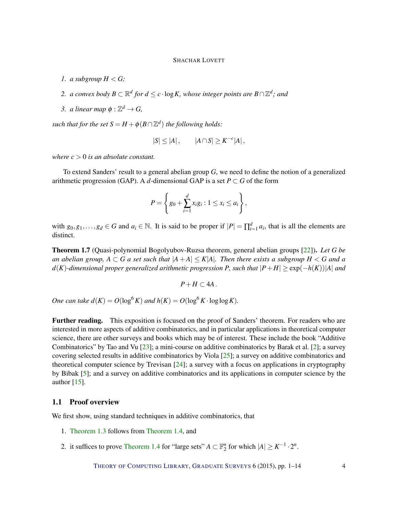- <span id="page-3-0"></span>*1. a subgroup*  $H < G$ ;
- 2. *a convex body*  $B \subset \mathbb{R}^d$  for  $d \leq c \cdot \log K$ , whose integer points are  $B \cap \mathbb{Z}^d$ ; and
- 3. *a linear map*  $\phi : \mathbb{Z}^d \to G$ ,

*such that for the set*  $S = H + \phi(B \cap \mathbb{Z}^d)$  *the following holds:* 

$$
|S| \le |A| \,, \qquad |A \cap S| \ge K^{-c} |A| \,,
$$

*where*  $c > 0$  *is an absolute constant.* 

To extend Sanders' result to a general abelian group *G*, we need to define the notion of a generalized arithmetic progression (GAP). A *d*-dimensional GAP is a set  $P \subset G$  of the form

$$
P = \left\{ g_0 + \sum_{i=1}^d x_i g_i : 1 \le x_i \le a_i \right\},\,
$$

with  $g_0, g_1, \ldots, g_d \in G$  and  $a_i \in \mathbb{N}$ . It is said to be proper if  $|P| = \prod_{i=1}^d a_i$ , that is all the elements are distinct.

Theorem 1.7 (Quasi-polynomial Bogolyubov-Ruzsa theorem, general abelian groups [\[22\]](#page-13-5)). *Let G be an abelian group,*  $A \subset G$  *a set such that*  $|A + A| \leq K|A|$ *. Then there exists a subgroup*  $H \leq G$  *and a d*(*K*)-dimensional proper generalized arithmetic progression *P*, such that  $|P+H| \geq \exp(-h(K))|A|$  and

$$
P+H\subset 4A.
$$

*One can take d*( $K$ ) =  $O(\log^6 K)$  *and*  $h(K) = O(\log^6 K \cdot \log \log K)$ .

Further reading. This exposition is focused on the proof of Sanders' theorem. For readers who are interested in more aspects of additive combinatorics, and in particular applications in theoretical computer science, there are other surveys and books which may be of interest. These include the book "Additive Combinatorics" by Tao and Vu [\[23\]](#page-13-6); a mini-course on additive combinatorics by Barak et al. [\[2\]](#page-11-2); a survey covering selected results in additive combinatorics by Viola [\[25\]](#page-13-7); a survey on additive combinatorics and theoretical computer science by Trevisan [\[24\]](#page-13-8); a survey with a focus on applications in cryptography by Bibak [\[5\]](#page-12-8); and a survey on additive combinatorics and its applications in computer science by the author [\[15\]](#page-12-9).

#### 1.1 Proof overview

We first show, using standard techniques in additive combinatorics, that

- 1. [Theorem](#page-2-0) [1.3](#page-2-0) follows from [Theorem](#page-2-1) [1.4,](#page-2-1) and
- 2. it suffices to prove [Theorem](#page-2-1) [1.4](#page-2-1) for "large sets"  $A \subset \mathbb{F}_2^n$  for which  $|A| \geq K^{-1} \cdot 2^n$ .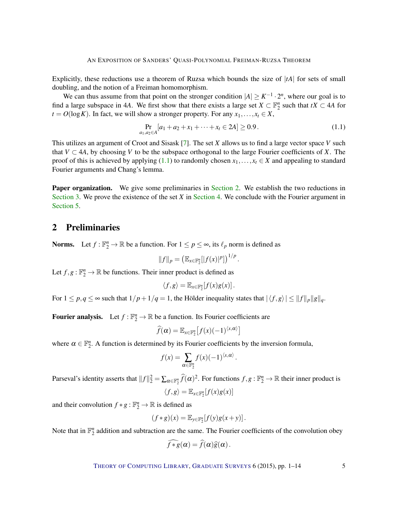<span id="page-4-2"></span>Explicitly, these reductions use a theorem of Ruzsa which bounds the size of |*tA*| for sets of small doubling, and the notion of a Freiman homomorphism.

We can thus assume from that point on the stronger condition  $|A| \geq K^{-1} \cdot 2^n$ , where our goal is to find a large subspace in 4*A*. We first show that there exists a large set  $X \subset \mathbb{F}_2^n$  such that  $tX \subset 4A$  for  $t = O(\log K)$ . In fact, we will show a stronger property. For any  $x_1, \ldots, x_t \in X$ ,

<span id="page-4-0"></span>
$$
\Pr_{a_1, a_2 \in A}[a_1 + a_2 + x_1 + \dots + x_t \in 2A] \ge 0.9. \tag{1.1}
$$

This utilizes an argument of Croot and Sisask [\[7\]](#page-12-10). The set *X* allows us to find a large vector space *V* such that  $V \subset 4A$ , by choosing V to be the subspace orthogonal to the large Fourier coefficients of X. The proof of this is achieved by applying [\(1.1\)](#page-4-0) to randomly chosen  $x_1, \ldots, x_t \in X$  and appealing to standard Fourier arguments and Chang's lemma.

**Paper organization.** We give some preliminaries in [Section](#page-4-1) [2.](#page-4-1) We establish the two reductions in [Section](#page-5-0) [3.](#page-5-0) We prove the existence of the set *X* in [Section](#page-6-0) [4.](#page-6-0) We conclude with the Fourier argument in [Section](#page-9-0) [5.](#page-9-0)

# <span id="page-4-1"></span>2 Preliminaries

**Norms.** Let  $f : \mathbb{F}_2^n \to \mathbb{R}$  be a function. For  $1 \leq p \leq \infty$ , its  $\ell_p$  norm is defined as

$$
||f||_p = (\mathbb{E}_{x \in \mathbb{F}_2^n} [|f(x)|^p])^{1/p}.
$$

Let  $f, g : \mathbb{F}_2^n \to \mathbb{R}$  be functions. Their inner product is defined as

$$
\langle f,g\rangle=\mathbb{E}_{x\in\mathbb{F}_2^n}[f(x)g(x)].
$$

For  $1 \leq p, q \leq \infty$  such that  $1/p + 1/q = 1$ , the Hölder inequality states that  $|\langle f, g \rangle| \leq ||f||_p ||g||_q$ .

**Fourier analysis.** Let  $f : \mathbb{F}_2^n \to \mathbb{R}$  be a function. Its Fourier coefficients are

$$
\widehat{f}(\boldsymbol{\alpha}) = \mathbb{E}_{\boldsymbol{x} \in \mathbb{F}_2^n} \big[ f(\boldsymbol{x}) (-1)^{\langle \boldsymbol{x}, \boldsymbol{\alpha} \rangle} \big]
$$

where  $\alpha \in \mathbb{F}_2^n$ . A function is determined by its Fourier coefficients by the inversion formula,

$$
f(x) = \sum_{\alpha \in \mathbb{F}_2^n} f(x) (-1)^{\langle x, \alpha \rangle}.
$$

Parseval's identity asserts that  $||f||_2^2 = \sum_{\alpha \in \mathbb{F}_2^n} \widehat{f}(\alpha)^2$ . For functions  $f, g : \mathbb{F}_2^n \to \mathbb{R}$  their inner product is

$$
\langle f, g \rangle = \mathbb{E}_{x \in \mathbb{F}_2^n} [f(x)g(x)]
$$

and their convolution  $f * g : \mathbb{F}_2^n \to \mathbb{R}$  is defined as

$$
(f * g)(x) = \mathbb{E}_{y \in \mathbb{F}_2^n}[f(y)g(x+y)].
$$

Note that in  $\mathbb{F}_2^n$  addition and subtraction are the same. The Fourier coefficients of the convolution obey

$$
\widehat{f}*\widehat{g}(\alpha)=\widehat{f}(\alpha)\widehat{g}(\alpha).
$$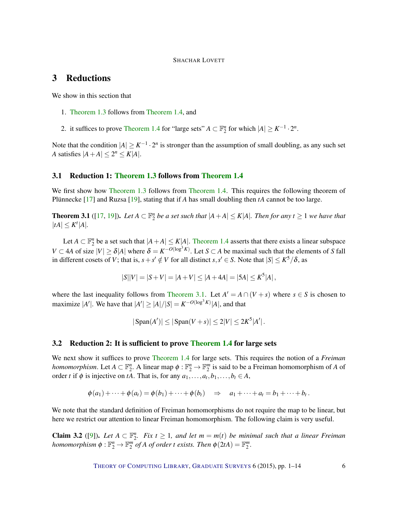# <span id="page-5-3"></span><span id="page-5-0"></span>3 Reductions

We show in this section that

- 1. [Theorem](#page-2-0) [1.3](#page-2-0) follows from [Theorem](#page-2-1) [1.4,](#page-2-1) and
- 2. it suffices to prove [Theorem](#page-2-1) [1.4](#page-2-1) for "large sets"  $A \subset \mathbb{F}_2^n$  for which  $|A| \geq K^{-1} \cdot 2^n$ .

Note that the condition  $|A| \geq K^{-1} \cdot 2^n$  is stronger than the assumption of small doubling, as any such set *A* satisfies  $|A + A| \leq 2^n \leq K|A|$ .

#### 3.1 Reduction 1: [Theorem](#page-2-0) [1.3](#page-2-0) follows from [Theorem](#page-2-1) [1.4](#page-2-1)

We first show how [Theorem](#page-2-1) [1.3](#page-2-0) follows from Theorem [1.4.](#page-2-1) This requires the following theorem of Plünnecke [\[17\]](#page-12-11) and Ruzsa [\[19\]](#page-13-1), stating that if *A* has small doubling then *tA* cannot be too large.

<span id="page-5-1"></span>**Theorem 3.1** ([\[17,](#page-12-11) [19\]](#page-13-1)). Let  $A \subset \mathbb{F}_2^n$  be a set such that  $|A + A| \le K|A|$ . Then for any  $t \ge 1$  we have that  $|tA| \leq K^t |A|$ .

Let  $A \subset \mathbb{F}_2^n$  be a set such that  $|A + A| \le K|A|$ . [Theorem](#page-2-1) [1.4](#page-2-1) asserts that there exists a linear subspace *V* ⊂ 4*A* of size  $|V|$  ≥  $\delta$ |*A*| where  $\delta = K^{-O(\log^3 K)}$ . Let *S* ⊂ *A* be maximal such that the elements of *S* fall in different cosets of *V*; that is,  $s + s' \notin V$  for all distinct  $s, s' \in S$ . Note that  $|S| \leq K^5/\delta$ , as

$$
|S||V| = |S + V| = |A + V| \le |A + 4A| = |5A| \le K^5|A|,
$$

where the last inequality follows from [Theorem](#page-5-1) [3.1.](#page-5-1) Let  $A' = A \cap (V + s)$  where  $s \in S$  is chosen to maximize  $|A'|$ . We have that  $|A'| \geq |A|/|S| = K^{-O(\log^3 K)}|A|$ , and that

$$
|\operatorname{Span}(A')| \le |\operatorname{Span}(V+s)| \le 2|V| \le 2K^5|A'|.
$$

#### 3.2 Reduction 2: It is sufficient to prove [Theorem](#page-2-1) [1.4](#page-2-1) for large sets

We next show it suffices to prove [Theorem](#page-2-1) [1.4](#page-2-1) for large sets. This requires the notion of a *Freiman homomorphism*. Let  $A \subset \mathbb{F}_2^n$ . A linear map  $\phi : \mathbb{F}_2^n \to \mathbb{F}_2^m$  is said to be a Freiman homomorphism of *A* of order *t* if  $\phi$  is injective on *tA*. That is, for any  $a_1, \ldots, a_t, b_1, \ldots, b_t \in A$ ,

$$
\phi(a_1)+\cdots+\phi(a_t)=\phi(b_1)+\cdots+\phi(b_t) \quad \Rightarrow \quad a_1+\cdots+a_t=b_1+\cdots+b_t.
$$

We note that the standard definition of Freiman homomorphisms do not require the map to be linear, but here we restrict our attention to linear Freiman homomorphism. The following claim is very useful.

<span id="page-5-2"></span>**Claim 3.2** ([\[9\]](#page-12-0)). Let  $A \subset \mathbb{F}_2^n$ . Fix  $t \geq 1$ , and let  $m = m(t)$  be minimal such that a linear Freiman *homomorphism*  $\phi : \mathbb{F}_2^n \to \mathbb{F}_2^m$  *of A of order t exists. Then*  $\phi(2tA) = \mathbb{F}_2^m$ *.*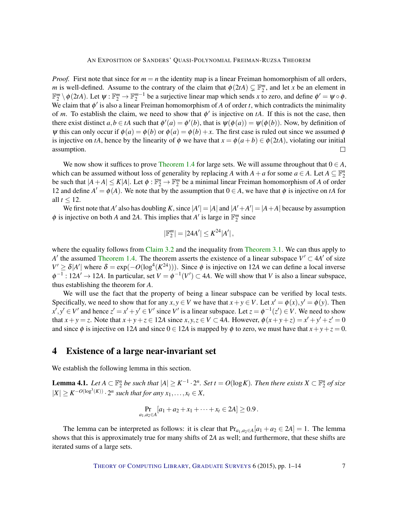*Proof.* First note that since for  $m = n$  the identity map is a linear Freiman homomorphism of all orders, *m* is well-defined. Assume to the contrary of the claim that  $\phi(2tA) \subsetneq \mathbb{F}_2^m$ , and let *x* be an element in  $\mathbb{F}_2^m \setminus \phi(2tA)$ . Let  $\psi : \mathbb{F}_2^m \to \mathbb{F}_2^{m-1}$  be a surjective linear map which sends *x* to zero, and define  $\phi' = \psi \circ \phi$ . We claim that  $\phi'$  is also a linear Freiman homomorphism of *A* of order *t*, which contradicts the minimality of *m*. To establish the claim, we need to show that  $\phi'$  is injective on *tA*. If this is not the case, then there exist distinct  $a, b \in tA$  such that  $\phi'(a) = \phi'(b)$ , that is  $\psi(\phi(a)) = \psi(\phi(b))$ . Now, by definition of  $\psi$  this can only occur if  $\phi(a) = \phi(b)$  or  $\phi(a) = \phi(b) + x$ . The first case is ruled out since we assumed  $\phi$ is injective on *tA*, hence by the linearity of  $\phi$  we have that  $x = \phi(a+b) \in \phi(2tA)$ , violating our initial assumption.  $\Box$ 

We now show it suffices to prove [Theorem](#page-2-1) [1.4](#page-2-1) for large sets. We will assume throughout that  $0 \in A$ , which can be assumed without loss of generality by replacing *A* with  $A + a$  for some  $a \in A$ . Let  $A \subseteq \mathbb{F}_2^n$ be such that  $|A+A| \leq K|A|$ . Let  $\phi: \mathbb{F}_2^n \to \mathbb{F}_2^m$  be a minimal linear Freiman homomorphism of *A* of order 12 and define  $A' = \phi(A)$ . We note that by the assumption that  $0 \in A$ , we have that  $\phi$  is injective on *tA* for all  $t < 12$ .

We first note that *A'* also has doubling *K*, since  $|A'| = |A|$  and  $|A' + A'| = |A + A|$  because by assumption  $\phi$  is injective on both *A* and 2*A*. This implies that *A'* is large in  $\mathbb{F}_2^m$  since

$$
|\mathbb{F}_2^m| = |24A'| \leq K^{24}|A'|,
$$

where the equality follows from [Claim](#page-5-2) [3.2](#page-5-2) and the inequality from [Theorem](#page-5-1) [3.1.](#page-5-1) We can thus apply to *A*<sup> $\prime$ </sup> the assumed [Theorem](#page-2-1) [1.4.](#page-2-1) The theorem asserts the existence of a linear subspace  $V' \subset 4A'$  of size  $V' \ge \delta |A'|$  where  $\delta = \exp(-O(\log^4(K^{24})))$ . Since  $\phi$  is injective on 12*A* we can define a local inverse  $\phi^{-1}: 12A' \to 12A$ . In particular, set  $V = \phi^{-1}(V') \subset 4A$ . We will show that *V* is also a linear subspace, thus establishing the theorem for *A*.

We will use the fact that the property of being a linear subspace can be verified by local tests. Specifically, we need to show that for any  $x, y \in V$  we have that  $x + y \in V$ . Let  $x' = \phi(x), y' = \phi(y)$ . Then  $x', y' \in V'$  and hence  $z' = x' + y' \in V'$  since *V'* is a linear subspace. Let  $z = \phi^{-1}(z') \in V$ . We need to show that  $x + y = z$ . Note that  $x + y + z \in 12A$  since  $x, y, z \in V \subset 4A$ . However,  $\phi(x + y + z) = x' + y' + z' = 0$ and since  $\phi$  is injective on 12*A* and since  $0 \in 12A$  is mapped by  $\phi$  to zero, we must have that  $x + y + z = 0$ .

### <span id="page-6-0"></span>4 Existence of a large near-invariant set

We establish the following lemma in this section.

<span id="page-6-1"></span>**Lemma 4.1.** Let  $A \subset \mathbb{F}_2^n$  be such that  $|A| \geq K^{-1} \cdot 2^n$ . Set  $t = O(\log K)$ . Then there exists  $X \subset \mathbb{F}_2^n$  of size  $|X| \geq K^{-O(\log^3(K))} \cdot 2^n$  such that for any  $x_1, \ldots, x_t \in X$ ,

$$
\Pr_{a_1,a_2\in A}[a_1+a_2+x_1+\cdots+x_t\in 2A]\geq 0.9.
$$

The lemma can be interpreted as follows: it is clear that  $Pr_{a_1,a_2\in A}[a_1 + a_2 \in 2A] = 1$ . The lemma shows that this is approximately true for many shifts of 2*A* as well; and furthermore, that these shifts are iterated sums of a large sets.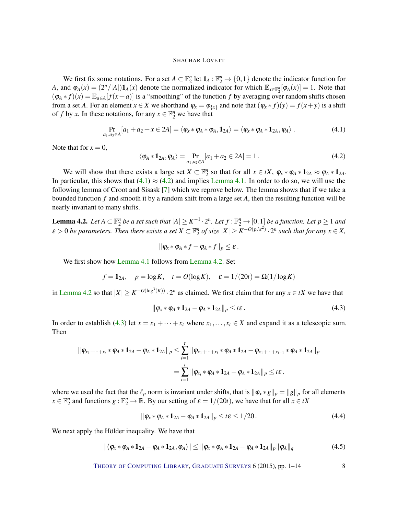<span id="page-7-5"></span>We first fix some notations. For a set  $A \subset \mathbb{F}_2^n$  let  $1_A : \mathbb{F}_2^n \to \{0,1\}$  denote the indicator function for *A*, and  $\varphi_A(x) = (2^n/|A|) \mathbf{1}_A(x)$  denote the normalized indicator for which  $\mathbb{E}_{x \in \mathbb{F}_2^n}[\varphi_A(x)] = 1$ . Note that  $(\varphi_A * f)(x) = \mathbb{E}_{a \in A}[f(x+a)]$  is a "smoothing" of the function *f* by averaging over random shifts chosen from a set *A*. For an element  $x \in X$  we shorthand  $\varphi_x = \varphi_{\{x\}}$  and note that  $(\varphi_x * f)(y) = f(x + y)$  is a shift of *f* by *x*. In these notations, for any  $x \in \mathbb{F}_2^n$  we have that

<span id="page-7-0"></span>
$$
\Pr_{a_1, a_2 \in A}[a_1 + a_2 + x \in 2A] = \langle \varphi_x * \varphi_A * \varphi_A, \mathbf{1}_{2A} \rangle = \langle \varphi_x * \varphi_A * \mathbf{1}_{2A}, \varphi_A \rangle. \tag{4.1}
$$

Note that for  $x = 0$ ,

<span id="page-7-1"></span>
$$
\langle \varphi_A * \mathbf{1}_{2A}, \varphi_A \rangle = \Pr_{a_1, a_2 \in A} [a_1 + a_2 \in 2A] = 1.
$$
 (4.2)

We will show that there exists a large set  $X \subset \mathbb{F}_2^n$  so that for all  $x \in tX$ ,  $\varphi_x * \varphi_A * 1_{2A} \approx \varphi_A * 1_{2A}$ . In particular, this shows that  $(4.1) \approx (4.2)$  $(4.1) \approx (4.2)$  $(4.1) \approx (4.2)$  and implies [Lemma](#page-6-1) [4.1.](#page-6-1) In order to do so, we will use the following lemma of Croot and Sisask [\[7\]](#page-12-10) which we reprove below. The lemma shows that if we take a bounded function *f* and smooth it by a random shift from a large set *A*, then the resulting function will be nearly invariant to many shifts.

<span id="page-7-2"></span>**Lemma 4.2.** Let  $A \subset \mathbb{F}_2^n$  be a set such that  $|A| \geq K^{-1} \cdot 2^n$ . Let  $f : \mathbb{F}_2^n \to [0,1]$  be a function. Let  $p \geq 1$  and  $\varepsilon > 0$  be parameters. Then there exists a set  $X \subset \mathbb{F}_2^n$  of size  $|X| \geq K^{-O(p/\varepsilon^2)} \cdot 2^n$  such that for any  $x \in X$ ,

$$
\|\varphi_{x}*\varphi_{A}*f-\varphi_{A}*f\|_{p}\leq \varepsilon.
$$

We first show how [Lemma](#page-6-1) [4.1](#page-6-1) follows from [Lemma](#page-7-2) [4.2.](#page-7-2) Set

$$
f = 1_{2A}
$$
,  $p = \log K$ ,  $t = O(\log K)$ ,  $\varepsilon = 1/(20t) = \Omega(1/\log K)$ 

in [Lemma](#page-7-2) [4.2](#page-7-2) so that  $|X| \ge K^{-O(\log^3(K))} \cdot 2^n$  as claimed. We first claim that for any  $x \in tX$  we have that

<span id="page-7-3"></span>
$$
\|\varphi_x * \varphi_A * \mathbf{1}_{2A} - \varphi_A * \mathbf{1}_{2A}\|_p \leq t\varepsilon.
$$
\n(4.3)

In order to establish [\(4.3\)](#page-7-3) let  $x = x_1 + \cdots + x_t$  where  $x_1, \ldots, x_t \in X$  and expand it as a telescopic sum. Then

$$
\begin{aligned} \|\varphi_{x_1+\dots+x_t}*\varphi_A * \mathbf{1}_{2A} - \varphi_A * \mathbf{1}_{2A}\|_p &\leq \sum_{i=1}^t \|\varphi_{x_1+\dots+x_i}*\varphi_A * \mathbf{1}_{2A} - \varphi_{x_1+\dots+x_{i-1}}*\varphi_A * \mathbf{1}_{2A}\|_p \\ &= \sum_{i=1}^t \|\varphi_{x_i}*\varphi_A * \mathbf{1}_{2A} - \varphi_A * \mathbf{1}_{2A}\|_p \leq t\epsilon \,, \end{aligned}
$$

where we used the fact that the  $\ell_p$  norm is invariant under shifts, that is  $\|\varphi_x * g\|_p = \|g\|_p$  for all elements  $x \in \mathbb{F}_2^n$  and functions  $g: \mathbb{F}_2^n \to \mathbb{R}$ . By our setting of  $\varepsilon = 1/(20t)$ , we have that for all  $x \in tX$ 

$$
\|\varphi_x * \varphi_A * \mathbf{1}_{2A} - \varphi_A * \mathbf{1}_{2A}\|_p \le t\epsilon \le 1/20. \tag{4.4}
$$

We next apply the Hölder inequality. We have that

<span id="page-7-4"></span>
$$
|\langle \varphi_{x} * \varphi_{A} * \mathbf{1}_{2A} - \varphi_{A} * \mathbf{1}_{2A}, \varphi_{A} \rangle| \leq ||\varphi_{x} * \varphi_{A} * \mathbf{1}_{2A} - \varphi_{A} * \mathbf{1}_{2A}||_{p} ||\varphi_{A}||_{q}
$$
(4.5)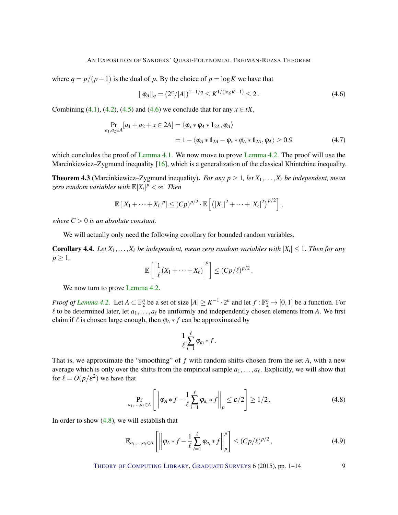<span id="page-8-4"></span>where  $q = p/(p-1)$  is the dual of p. By the choice of  $p = \log K$  we have that

<span id="page-8-0"></span>
$$
\|\varphi_A\|_q = (2^n/|A|)^{1-1/q} \le K^{1/(\log K - 1)} \le 2.
$$
 (4.6)

Combining [\(4.1\)](#page-7-0), [\(4.2\)](#page-7-1), [\(4.5\)](#page-7-4) and [\(4.6\)](#page-8-0) we conclude that for any  $x \in tX$ ,

$$
\Pr_{a_1, a_2 \in A} [a_1 + a_2 + x \in 2A] = \langle \varphi_x * \varphi_A * 1_{2A}, \varphi_A \rangle
$$
  
= 1 - \langle \varphi\_A \* 1\_{2A} - \varphi\_x \* \varphi\_A \* 1\_{2A}, \varphi\_A \rangle \ge 0.9 (4.7)

which concludes the proof of [Lemma](#page-7-2) [4.1.](#page-6-1) We now move to prove Lemma [4.2.](#page-7-2) The proof will use the Marcinkiewicz–Zygmund inequality [\[16\]](#page-12-12), which is a generalization of the classical Khintchine inequality.

**Theorem 4.3** (Marcinkiewicz–Zygmund inequality). *For any*  $p \ge 1$ , let  $X_1, \ldots, X_\ell$  be independent, mean *zero random variables with*  $\mathbb{E}|X_i|^p < \infty$ . Then

$$
\mathbb{E}[|X_1 + \cdots + X_\ell|^p] \le (Cp)^{p/2} \cdot \mathbb{E}\left[\left(|X_1|^2 + \cdots + |X_\ell|^2\right)^{p/2}\right],
$$

*where*  $C > 0$  *is an absolute constant.* 

We will actually only need the following corollary for bounded random variables.

<span id="page-8-3"></span>**Corollary 4.4.** Let  $X_1, \ldots, X_\ell$  be independent, mean zero random variables with  $|X_i| \leq 1$ . Then for any  $p \geq 1$ 

$$
\mathbb{E}\left[\left|\frac{1}{\ell}(X_1+\cdots+X_\ell)\right|^p\right]\leq (Cp/\ell)^{p/2}.
$$

We now turn to prove [Lemma](#page-7-2) [4.2.](#page-7-2)

*Proof of [Lemma](#page-7-2)* [4.2.](#page-7-2) Let  $A \subset \mathbb{F}_2^n$  be a set of size  $|A| \geq K^{-1} \cdot 2^n$  and let  $f : \mathbb{F}_2^n \to [0,1]$  be a function. For  $\ell$  to be determined later, let  $a_1, \ldots, a_\ell$  be uniformly and independently chosen elements from *A*. We first claim if  $\ell$  is chosen large enough, then  $\varphi_A * f$  can be approximated by

$$
\frac{1}{\ell}\sum_{i=1}^{\ell}\varphi_{a_i}*f.
$$

That is, we approximate the "smoothing" of *f* with random shifts chosen from the set *A*, with a new average which is only over the shifts from the empirical sample  $a_1, \ldots, a_\ell$ . Explicitly, we will show that for  $\ell = O(p/\varepsilon^2)$  we have that

<span id="page-8-1"></span>
$$
\Pr_{a_1,\dots,a_\ell\in A}\left[\left\|\varphi_A\ast f-\frac{1}{\ell}\sum_{i=1}^\ell\varphi_{a_i}\ast f\right\|_p\leq \varepsilon/2\right]\geq 1/2.
$$
\n(4.8)

In order to show  $(4.8)$ , we will establish that

<span id="page-8-2"></span>
$$
\mathbb{E}_{a_1,\ldots,a_\ell\in A}\left[\left\|\varphi_A\ast f-\frac{1}{\ell}\sum_{i=1}^\ell\varphi_{a_i}\ast f\right\|_p^p\right]\leq (Cp/\ell)^{p/2},\tag{4.9}
$$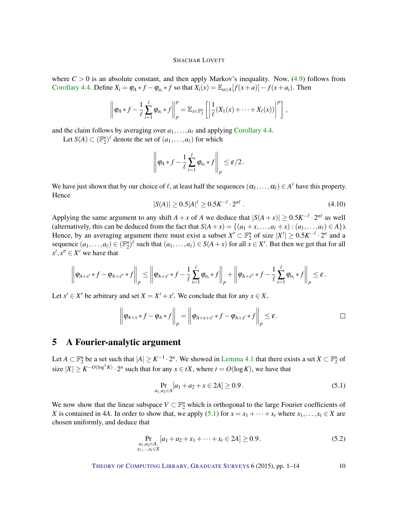where  $C > 0$  is an absolute constant, and then apply Markov's inequality. Now,  $(4.9)$  follows from [Corollary](#page-8-3) [4.4.](#page-8-3) Define  $X_i = \varphi_A * f - \varphi_{a_i} * f$  so that  $X_i(x) = \mathbb{E}_{a \in A}[f(x+a)] - f(x+a_i)$ . Then

$$
\left\|\varphi_A * f - \frac{1}{\ell}\sum_{i=1}^{\ell} \varphi_{a_i} * f\right\|_p^p = \mathbb{E}_{x \in \mathbb{F}_2^n} \left[\left|\frac{1}{\ell}(X_1(x) + \cdots + X_{\ell}(x))\right|^p\right],
$$

and the claim follows by averaging over  $a_1, \ldots, a_\ell$  and applying [Corollary](#page-8-3) [4.4.](#page-8-3)

Let  $S(A) \subset (\mathbb{F}_2^n)^{\ell}$  denote the set of  $(a_1, \ldots, a_{\ell})$  for which

$$
\left\|\varphi_A * f - \frac{1}{\ell}\sum_{i=1}^{\ell} \varphi_{a_i} * f\right\|_p \leq \varepsilon/2.
$$

We have just shown that by our choice of  $\ell$ , at least half the sequences  $(\alpha_1,\ldots,\alpha_\ell)\in A^\ell$  have this property. Hence

$$
|S(A)| \ge 0.5|A|^{\ell} \ge 0.5K^{-\ell} \cdot 2^{n\ell} \,. \tag{4.10}
$$

Applying the same argument to any shift  $A + x$  of  $A$  we deduce that  $|S(A + x)| \ge 0.5K^{-\ell} \cdot 2^{n\ell}$  as well (alternatively, this can be deduced from the fact that  $S(A+x) = \{(a_1+x,\ldots,a_\ell+x) : (a_1,\ldots,a_\ell) \in A\}$ ). Hence, by an averaging argument there must exist a subset  $X' \subset \mathbb{F}_2^n$  of size  $|X'| \ge 0.5K^{-\ell} \cdot 2^n$  and a sequence  $(a_1, \ldots, a_\ell) \in (\mathbb{F}_2^n)^{\ell}$  such that  $(a_1, \ldots, a_\ell) \in S(A + x)$  for all  $x \in X'$ . But then we get that for all  $x', x'' \in X'$  we have that

$$
\left\|\varphi_{A+x'} * f - \varphi_{A+x''} * f\right\|_p \le \left\|\varphi_{A+x'} * f - \frac{1}{\ell}\sum_{i=1}^{\ell} \varphi_{a_i} * f\right\|_p + \left\|\varphi_{A+x''} * f - \frac{1}{\ell}\sum_{i=1}^{\ell} \varphi_{a_i} * f\right\|_p \le \varepsilon.
$$

Let  $x' \in X'$  be arbitrary and set  $X = X' + x'$ . We conclude that for any  $x \in X$ ,

$$
\left\|\varphi_{A+x}*f-\varphi_A*f\right\|_p=\left\|\varphi_{A+x+x'}*f-\varphi_{A+x'}*f\right\|_p\leq\varepsilon.
$$

# <span id="page-9-0"></span>5 A Fourier-analytic argument

Let  $A \subset \mathbb{F}_2^n$  be a set such that  $|A| \geq K^{-1} \cdot 2^n$ . We showed in [Lemma](#page-6-1) [4.1](#page-6-1) that there exists a set  $X \subset \mathbb{F}_2^n$  of size  $|X| \ge K^{-O(\log^3 K)} \cdot 2^n$  such that for any  $x \in tX$ , where  $t = O(\log K)$ , we have that

<span id="page-9-1"></span>
$$
\Pr_{a_1, a_2 \in A}[a_1 + a_2 + x \in 2A] \ge 0.9. \tag{5.1}
$$

We now show that the linear subspace  $V \subset \mathbb{F}_2^n$  which is orthogonal to the large Fourier coefficients of *X* is contained in 4*A*. In order to show that, we apply [\(5.1\)](#page-9-1) for  $x = x_1 + \cdots + x_t$  where  $x_1, \ldots, x_t \in X$  are chosen uniformly, and deduce that

$$
\Pr_{\substack{a_1, a_2 \in A, \\ x_1, \dots, x_t \in X}} [a_1 + a_2 + x_1 + \dots + x_t \in 2A] \ge 0.9. \tag{5.2}
$$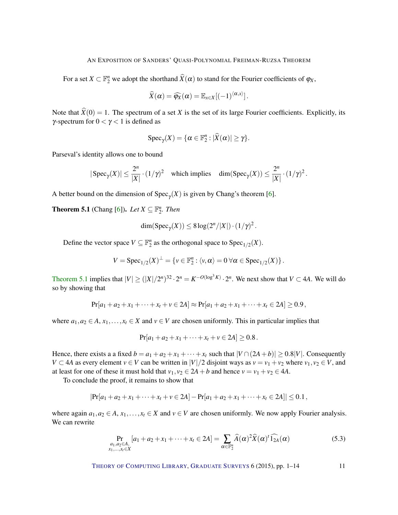<span id="page-10-1"></span>For a set  $X \subset \mathbb{F}_2^n$  we adopt the shorthand  $\widehat{X}(\alpha)$  to stand for the Fourier coefficients of  $\varphi_X$ ,

$$
\widehat{X}(\boldsymbol{\alpha}) = \widehat{\varphi_X}(\boldsymbol{\alpha}) = \mathbb{E}_{x \in X} [(-1)^{\langle \boldsymbol{\alpha}, x \rangle}].
$$

Note that  $\hat{X}(0) = 1$ . The spectrum of a set *X* is the set of its large Fourier coefficients. Explicitly, its γ-spectrum for  $0 < \gamma < 1$  is defined as

$$
Spec_{\gamma}(X) = \{ \alpha \in \mathbb{F}_2^n : |\widehat{X}(\alpha)| \geq \gamma \}.
$$

Parseval's identity allows one to bound

$$
|\operatorname{Spec}_\gamma(X)| \le \frac{2^n}{|X|} \cdot (1/\gamma)^2 \quad \text{which implies} \quad \dim(\operatorname{Spec}_\gamma(X)) \le \frac{2^n}{|X|} \cdot (1/\gamma)^2 \, .
$$

A better bound on the dimension of  $Spec_{\gamma}(X)$  is given by Chang's theorem [\[6\]](#page-12-13).

<span id="page-10-0"></span>**Theorem 5.1** (Chang [\[6\]](#page-12-13)). Let  $X \subseteq \mathbb{F}_2^n$ . Then

$$
\dim(\operatorname{Spec}_{\gamma}(X)) \leq 8\log(2^n/|X|) \cdot (1/\gamma)^2.
$$

Define the vector space  $V \subseteq \mathbb{F}_2^n$  as the orthogonal space to  $Spec_{1/2}(X)$ .

$$
V = \operatorname{Spec}_{1/2}(X)^{\perp} = \{ v \in \mathbb{F}_2^n : \langle v, \alpha \rangle = 0 \ \forall \alpha \in \operatorname{Spec}_{1/2}(X) \}.
$$

[Theorem](#page-10-0) [5.1](#page-10-0) implies that  $|V| \geq (|X|/2^n)^{32} \cdot 2^n = K^{-O(\log^3 K)} \cdot 2^n$ . We next show that  $V \subset 4A$ . We will do so by showing that

$$
Pr[a_1 + a_2 + x_1 + \cdots + x_t + v \in 2A] \approx Pr[a_1 + a_2 + x_1 + \cdots + x_t \in 2A] \ge 0.9,
$$

where  $a_1, a_2 \in A$ ,  $x_1, \ldots, x_t \in X$  and  $v \in V$  are chosen uniformly. This in particular implies that

$$
Pr[a_1 + a_2 + x_1 + \cdots + x_t + v \in 2A] \geq 0.8.
$$

Hence, there exists a a fixed  $b = a_1 + a_2 + x_1 + \cdots + x_t$  such that  $|V \cap (2A + b)| \ge 0.8|V|$ . Consequently *V* ⊂ 4*A* as every element *v* ∈ *V* can be written in |*V*|/2 disjoint ways as *v* = *v*<sub>1</sub> + *v*<sub>2</sub> where *v*<sub>1</sub>, *v*<sub>2</sub> ∈ *V*, and at least for one of these it must hold that  $v_1, v_2 \in 2A + b$  and hence  $v = v_1 + v_2 \in 4A$ .

To conclude the proof, it remains to show that

$$
|\Pr[a_1 + a_2 + x_1 + \cdots + x_t + v \in 2A] - \Pr[a_1 + a_2 + x_1 + \cdots + x_t \in 2A]| \leq 0.1
$$
,

where again  $a_1, a_2 \in A$ ,  $x_1, \ldots, x_t \in X$  and  $v \in V$  are chosen uniformly. We now apply Fourier analysis. We can rewrite

$$
\Pr_{\substack{a_1, a_2 \in A, \\ x_1, ..., x_t \in X}} [a_1 + a_2 + x_1 + \dots + x_t \in 2A] = \sum_{\alpha \in \mathbb{F}_2^n} \widehat{A}(\alpha)^2 \widehat{X}(\alpha)^t \widehat{1_{2A}}(\alpha)
$$
(5.3)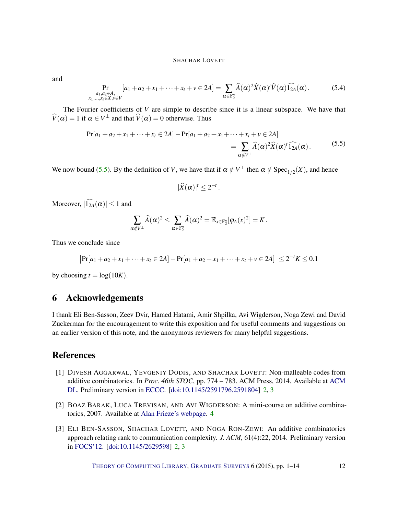and

$$
\Pr_{\substack{a_1, a_2 \in A, \\ x_1, \ldots, x_t \in X, v \in V}} [a_1 + a_2 + x_1 + \cdots + x_t + v \in 2A] = \sum_{\alpha \in \mathbb{F}_2^n} \widehat{A}(\alpha)^2 \widehat{X}(\alpha)^t \widehat{V}(\alpha) \widehat{1_{2A}}(\alpha).
$$
 (5.4)

The Fourier coefficients of *V* are simple to describe since it is a linear subspace. We have that  $\hat{V}(\alpha) = 1$  if  $\alpha \in V^{\perp}$  and that  $\hat{V}(\alpha) = 0$  otherwise. Thus

$$
\Pr[a_1 + a_2 + x_1 + \dots + x_t \in 2A] - \Pr[a_1 + a_2 + x_1 + \dots + x_t + v \in 2A] \\
= \sum_{\alpha \notin V^{\perp}} \widehat{A}(\alpha)^2 \widehat{X}(\alpha)^t \widehat{1_{2A}}(\alpha).
$$
\n(5.5)

<span id="page-11-3"></span>We now bound [\(5.5\)](#page-11-3). By the definition of *V*, we have that if  $\alpha \notin V^{\perp}$  then  $\alpha \notin Spec_{1/2}(X)$ , and hence

$$
|\widehat{X}(\alpha)|^t\leq 2^{-t}.
$$

Moreover,  $|\widehat{1}_{2A}(\alpha)| \leq 1$  and

$$
\sum_{\alpha \notin V^{\perp}} \widehat{A}(\alpha)^2 \leq \sum_{\alpha \in \mathbb{F}_2^n} \widehat{A}(\alpha)^2 = \mathbb{E}_{x \in \mathbb{F}_2^n}[\varphi_A(x)^2] = K.
$$

Thus we conclude since

$$
|\Pr[a_1 + a_2 + x_1 + \dots + x_t \in 2A] - \Pr[a_1 + a_2 + x_1 + \dots + x_t + v \in 2A]| \leq 2^{-t}K \leq 0.1
$$

by choosing  $t = \log(10K)$ .

# 6 Acknowledgements

I thank Eli Ben-Sasson, Zeev Dvir, Hamed Hatami, Amir Shpilka, Avi Wigderson, Noga Zewi and David Zuckerman for the encouragement to write this exposition and for useful comments and suggestions on an earlier version of this note, and the anonymous reviewers for many helpful suggestions.

# References

- <span id="page-11-1"></span>[1] DIVESH AGGARWAL, YEVGENIY DODIS, AND SHACHAR LOVETT: Non-malleable codes from additive combinatorics. In *Proc. 46th STOC*, pp. 774 – 783. ACM Press, 2014. Available at [ACM](http://dl.acm.org/citation.cfm?id=2591804&preflayout=tabs) [DL.](http://dl.acm.org/citation.cfm?id=2591804&preflayout=tabs) Preliminary version in [ECCC.](http://eccc.hpi-web.de/report/2013/081/) [\[doi:10.1145/2591796.2591804\]](http://dx.doi.org/10.1145/2591796.2591804) [2,](#page-1-1) [3](#page-2-3)
- <span id="page-11-2"></span>[2] BOAZ BARAK, LUCA TREVISAN, AND AVI WIGDERSON: A mini-course on additive combinatorics, 2007. Available at [Alan Frieze's webpage.](http://www.math.cmu.edu/~af1p/Teaching/AdditiveCombinatorics/allnotes.pdf) [4](#page-3-0)
- <span id="page-11-0"></span>[3] ELI BEN-SASSON, SHACHAR LOVETT, AND NOGA RON-ZEWI: An additive combinatorics approach relating rank to communication complexity. *J. ACM*, 61(4):22, 2014. Preliminary version in [FOCS'12.](http://dx.doi.org/10.1109/FOCS.2012.39) [\[doi:10.1145/2629598\]](http://dx.doi.org/10.1145/2629598) [2,](#page-1-1) [3](#page-2-3)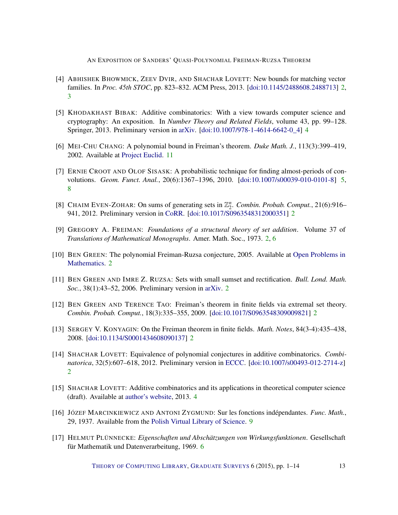- <span id="page-12-7"></span>[4] ABHISHEK BHOWMICK, ZEEV DVIR, AND SHACHAR LOVETT: New bounds for matching vector families. In *Proc. 45th STOC*, pp. 823–832. ACM Press, 2013. [\[doi:10.1145/2488608.2488713\]](http://dx.doi.org/10.1145/2488608.2488713) [2,](#page-1-1) [3](#page-2-3)
- <span id="page-12-8"></span>[5] KHODAKHAST BIBAK: Additive combinatorics: With a view towards computer science and cryptography: An exposition. In *Number Theory and Related Fields*, volume 43, pp. 99–128. Springer, 2013. Preliminary version in [arXiv.](http://arxiv.org/abs/1108.3790) [\[doi:10.1007/978-1-4614-6642-0\\_4\]](http://dx.doi.org/10.1007/978-1-4614-6642-0_4) [4](#page-3-0)
- <span id="page-12-13"></span>[6] MEI-CHU CHANG: A polynomial bound in Freiman's theorem. *Duke Math. J.*, 113(3):399–419, 2002. Available at [Project Euclid.](http://projecteuclid.org/euclid.dmj/1087575313) [11](#page-10-1)
- <span id="page-12-10"></span>[7] ERNIE CROOT AND OLOF SISASK: A probabilistic technique for finding almost-periods of convolutions. *Geom. Funct. Anal.*, 20(6):1367–1396, 2010. [\[doi:10.1007/s00039-010-0101-8\]](http://dx.doi.org/10.1007/s00039-010-0101-8) [5,](#page-4-2) [8](#page-7-5)
- <span id="page-12-4"></span>[8] CHAIM EVEN-ZOHAR: On sums of generating sets in  $\mathbb{Z}_2^n$ . *Combin. Probab. Comput.*, 21(6):916– 941, 2012. Preliminary version in [CoRR.](http://arxiv.org/abs/1108.4902) [\[doi:10.1017/S0963548312000351\]](http://dx.doi.org/10.1017/S0963548312000351) [2](#page-1-1)
- <span id="page-12-0"></span>[9] GREGORY A. FREIMAN: *Foundations of a structural theory of set addition*. Volume 37 of *Translations of Mathematical Monographs*. Amer. Math. Soc., 1973. [2,](#page-1-1) [6](#page-5-3)
- <span id="page-12-5"></span>[10] BEN GREEN: The polynomial Freiman-Ruzsa conjecture, 2005. Available at [Open Problems in](http://www.opmath.org/index.php/opm/article/viewFile/6/4) [Mathematics.](http://www.opmath.org/index.php/opm/article/viewFile/6/4) [2](#page-1-1)
- <span id="page-12-1"></span>[11] BEN GREEN AND IMRE Z. RUZSA: Sets with small sumset and rectification. *Bull. Lond. Math. Soc.*, 38(1):43–52, 2006. Preliminary version in [arXiv.](http://arxiv.org/abs/math/0403338) [2](#page-1-1)
- <span id="page-12-2"></span>[12] BEN GREEN AND TERENCE TAO: Freiman's theorem in finite fields via extremal set theory. *Combin. Probab. Comput.*, 18(3):335–355, 2009. [\[doi:10.1017/S0963548309009821\]](http://dx.doi.org/10.1017/S0963548309009821) [2](#page-1-1)
- <span id="page-12-3"></span>[13] SERGEY V. KONYAGIN: On the Freiman theorem in finite fields. *Math. Notes*, 84(3-4):435–438, 2008. [\[doi:10.1134/S0001434608090137\]](http://dx.doi.org/10.1134/S0001434608090137) [2](#page-1-1)
- <span id="page-12-6"></span>[14] SHACHAR LOVETT: Equivalence of polynomial conjectures in additive combinatorics. *Combinatorica*, 32(5):607–618, 2012. Preliminary version in [ECCC.](http://eccc.hpi-web.de/report/2010/010/) [\[doi:10.1007/s00493-012-2714-z\]](http://dx.doi.org/10.1007/s00493-012-2714-z) [2](#page-1-1)
- <span id="page-12-9"></span>[15] SHACHAR LOVETT: Additive combinatorics and its applications in theoretical computer science (draft). Available at [author's website,](http://cseweb.ucsd.edu/~slovett/files/addcomb-survey.pdf) 2013. [4](#page-3-0)
- <span id="page-12-12"></span>[16] JÓZEF MARCINKIEWICZ AND ANTONI ZYGMUND: Sur les fonctions indépendantes. *Func. Math.*, 29, 1937. Available from the [Polish Virtual Library of Science.](http://matwbn.icm.edu.pl/ksiazki/fm/fm29/fm29110.pdf) [9](#page-8-4)
- <span id="page-12-11"></span>[17] HELMUT PLÜNNECKE: *Eigenschaften und Abschätzungen von Wirkungsfunktionen*. Gesellschaft für Mathematik und Datenverarbeitung, 1969. [6](#page-5-3)